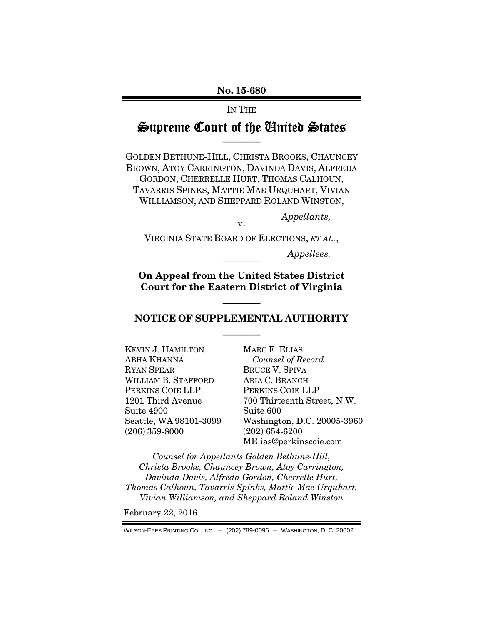## IN THE

## Supreme Court of the United States ————

GOLDEN BETHUNE-HILL, CHRISTA BROOKS, CHAUNCEY BROWN, ATOY CARRINGTON, DAVINDA DAVIS, ALFREDA GORDON, CHERRELLE HURT, THOMAS CALHOUN, TAVARRIS SPINKS, MATTIE MAE URQUHART, VIVIAN WILLIAMSON, AND SHEPPARD ROLAND WINSTON,

*Appellants,* 

v. VIRGINIA STATE BOARD OF ELECTIONS, *ET AL.*,

 $Appelles.$ 

On Appeal from the United States District Court for the Eastern District of Virginia

## ———— NOTICE OF SUPPLEMENTAL AUTHORITY

————

KEVIN J. HAMILTON ABHA KHANNA RYAN SPEAR WILLIAM B. STAFFORD PERKINS COIE LLP 1201 Third Avenue Suite 4900 Seattle, WA 98101-3099 (206) 359-8000

MARC E. ELIAS *Counsel of Record*  BRUCE V. SPIVA ARIA C. BRANCH PERKINS COIE LLP 700 Thirteenth Street, N.W. Suite 600 Washington, D.C. 20005-3960 (202) 654-6200 MElias@perkinscoie.com

*Counsel for Appellants Golden Bethune-Hill, Christa Brooks, Chauncey Brown, Atoy Carrington, Davinda Davis, Alfreda Gordon, Cherrelle Hurt, Thomas Calhoun, Tavarris Spinks, Mattie Mae Urquhart, Vivian Williamson, and Sheppard Roland Winston* 

February 22, 2016

WILSON-EPES PRINTING CO., INC. – (202) 789-0096 – WASHINGTON, D. C. 20002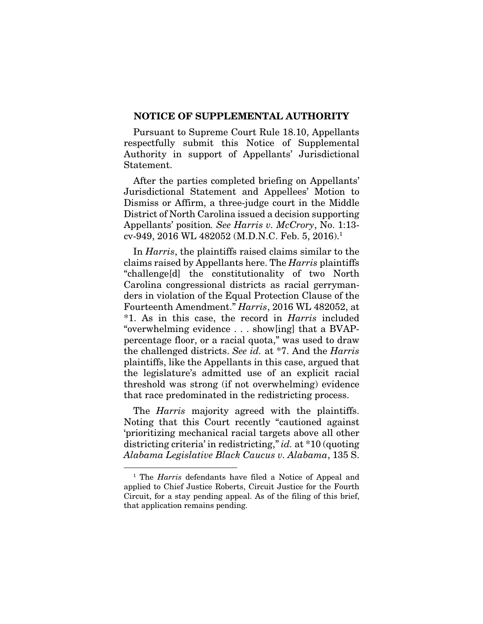## NOTICE OF SUPPLEMENTAL AUTHORITY

Pursuant to Supreme Court Rule 18.10, Appellants respectfully submit this Notice of Supplemental Authority in support of Appellants' Jurisdictional Statement.

After the parties completed briefing on Appellants' Jurisdictional Statement and Appellees' Motion to Dismiss or Affirm, a three-judge court in the Middle District of North Carolina issued a decision supporting Appellants' position*. See Harris v. McCrory*, No. 1:13 cv-949, 2016 WL 482052 (M.D.N.C. Feb. 5, 2016).1

In *Harris*, the plaintiffs raised claims similar to the claims raised by Appellants here. The *Harris* plaintiffs "challenge[d] the constitutionality of two North Carolina congressional districts as racial gerrymanders in violation of the Equal Protection Clause of the Fourteenth Amendment." *Harris*, 2016 WL 482052, at \*1. As in this case, the record in *Harris* included "overwhelming evidence . . . show[ing] that a BVAPpercentage floor, or a racial quota," was used to draw the challenged districts. *See id.* at \*7. And the *Harris* plaintiffs, like the Appellants in this case, argued that the legislature's admitted use of an explicit racial threshold was strong (if not overwhelming) evidence that race predominated in the redistricting process.

The *Harris* majority agreed with the plaintiffs. Noting that this Court recently "cautioned against 'prioritizing mechanical racial targets above all other districting criteria' in redistricting," *id.* at \*10 (quoting *Alabama Legislative Black Caucus v. Alabama*, 135 S.

<sup>&</sup>lt;sup>1</sup> The *Harris* defendants have filed a Notice of Appeal and applied to Chief Justice Roberts, Circuit Justice for the Fourth Circuit, for a stay pending appeal. As of the filing of this brief, that application remains pending.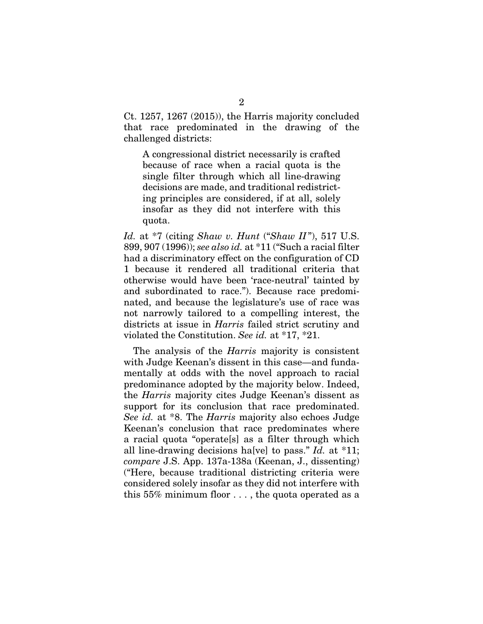Ct. 1257, 1267 (2015)), the Harris majority concluded that race predominated in the drawing of the challenged districts:

A congressional district necessarily is crafted because of race when a racial quota is the single filter through which all line-drawing decisions are made, and traditional redistricting principles are considered, if at all, solely insofar as they did not interfere with this quota.

*Id.* at \*7 (citing *Shaw v. Hunt* ("*Shaw II* "), 517 U.S. 899, 907 (1996)); *see also id.* at \*11 ("Such a racial filter had a discriminatory effect on the configuration of CD 1 because it rendered all traditional criteria that otherwise would have been 'race-neutral' tainted by and subordinated to race."). Because race predominated, and because the legislature's use of race was not narrowly tailored to a compelling interest, the districts at issue in *Harris* failed strict scrutiny and violated the Constitution. *See id.* at \*17, \*21.

The analysis of the *Harris* majority is consistent with Judge Keenan's dissent in this case—and fundamentally at odds with the novel approach to racial predominance adopted by the majority below. Indeed, the *Harris* majority cites Judge Keenan's dissent as support for its conclusion that race predominated. *See id.* at \*8. The *Harris* majority also echoes Judge Keenan's conclusion that race predominates where a racial quota "operate[s] as a filter through which all line-drawing decisions ha[ve] to pass." *Id.* at \*11; *compare* J.S. App. 137a-138a (Keenan, J., dissenting) ("Here, because traditional districting criteria were considered solely insofar as they did not interfere with this 55% minimum floor . . . , the quota operated as a